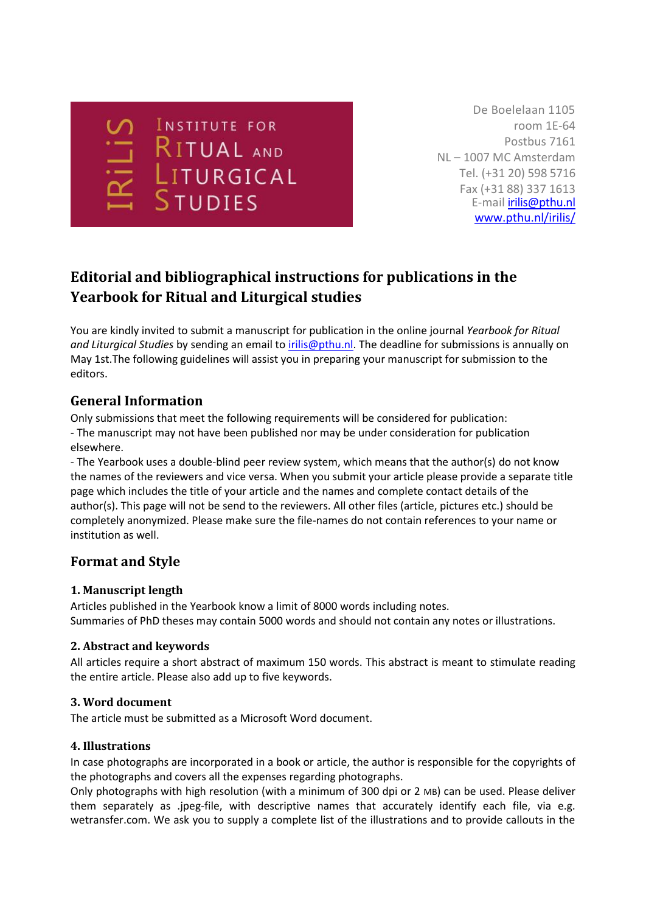**INSTITUTE FOR** RITUAL AND **STUDIES** 

De Boelelaan 1105 room 1E-64 Postbus 7161 NL – 1007 MC Amsterdam Tel. (+31 20) 598 5716 Fax (+31 88) 337 1613 E-mail [irilis@pthu.nl](mailto:irilis@pthu.nl) [www.pthu.nl/irilis/](http://www.pthu.nl/irilis/)

# **Editorial and bibliographical instructions for publications in the Yearbook for Ritual and Liturgical studies**

You are kindly invited to submit a manuscript for publication in the online journal *Yearbook for Ritual and Liturgical Studies* by sending an email to [irilis@pthu.nl.](mailto:irilis@pthu.nl) The deadline for submissions is annually on May 1st.The following guidelines will assist you in preparing your manuscript for submission to the editors.

## **General Information**

Only submissions that meet the following requirements will be considered for publication: - The manuscript may not have been published nor may be under consideration for publication elsewhere.

- The Yearbook uses a double-blind peer review system, which means that the author(s) do not know the names of the reviewers and vice versa. When you submit your article please provide a separate title page which includes the title of your article and the names and complete contact details of the author(s). This page will not be send to the reviewers. All other files (article, pictures etc.) should be completely anonymized. Please make sure the file-names do not contain references to your name or institution as well.

## **Format and Style**

## **1. Manuscript length**

Articles published in the Yearbook know a limit of 8000 words including notes. Summaries of PhD theses may contain 5000 words and should not contain any notes or illustrations.

## **2. Abstract and keywords**

All articles require a short abstract of maximum 150 words. This abstract is meant to stimulate reading the entire article. Please also add up to five keywords.

## **3. Word document**

The article must be submitted as a Microsoft Word document.

## **4. Illustrations**

In case photographs are incorporated in a book or article, the author is responsible for the copyrights of the photographs and covers all the expenses regarding photographs.

Only photographs with high resolution (with a minimum of 300 dpi or 2 MB) can be used. Please deliver them separately as .jpeg-file, with descriptive names that accurately identify each file, via e.g. wetransfer.com. We ask you to supply a complete list of the illustrations and to provide callouts in the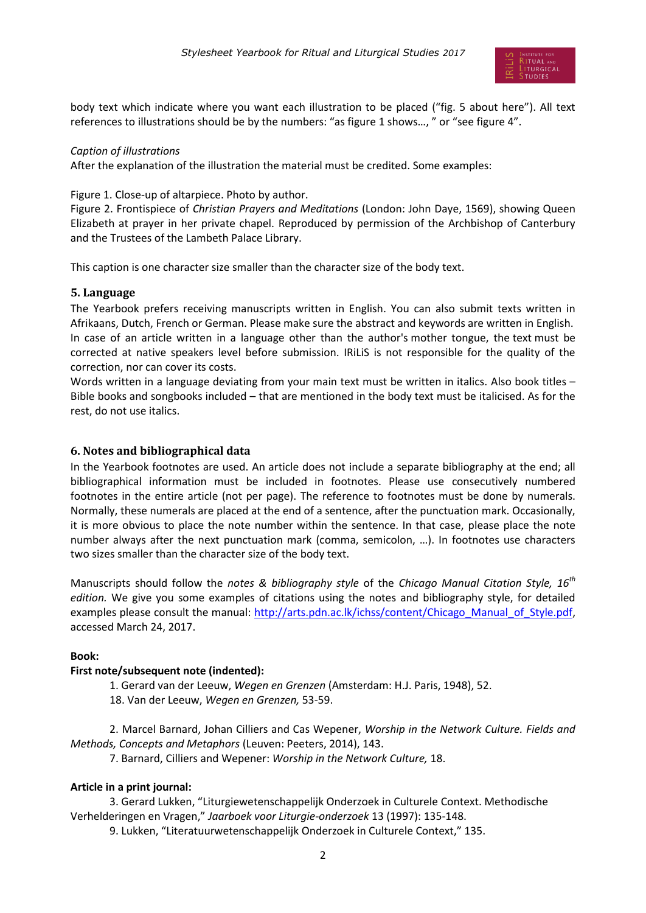

body text which indicate where you want each illustration to be placed ("fig. 5 about here"). All text references to illustrations should be by the numbers: "as figure 1 shows…, " or "see figure 4".

#### *Caption of illustrations*

After the explanation of the illustration the material must be credited. Some examples:

Figure 1. Close-up of altarpiece. Photo by author.

Figure 2. Frontispiece of *Christian Prayers and Meditations* (London: John Daye, 1569), showing Queen Elizabeth at prayer in her private chapel. Reproduced by permission of the Archbishop of Canterbury and the Trustees of the Lambeth Palace Library.

This caption is one character size smaller than the character size of the body text.

#### **5. Language**

The Yearbook prefers receiving manuscripts written in English. You can also submit texts written in Afrikaans, Dutch, French or German. Please make sure the abstract and keywords are written in English. In case of an article written in a language other than the author's mother tongue, the text must be corrected at native speakers level before submission. IRiLiS is not responsible for the quality of the correction, nor can cover its costs.

Words written in a language deviating from your main text must be written in italics. Also book titles -Bible books and songbooks included – that are mentioned in the body text must be italicised. As for the rest, do not use italics.

#### **6. Notes and bibliographical data**

In the Yearbook footnotes are used. An article does not include a separate bibliography at the end; all bibliographical information must be included in footnotes. Please use consecutively numbered footnotes in the entire article (not per page). The reference to footnotes must be done by numerals. Normally, these numerals are placed at the end of a sentence, after the punctuation mark. Occasionally, it is more obvious to place the note number within the sentence. In that case, please place the note number always after the next punctuation mark (comma, semicolon, …). In footnotes use characters two sizes smaller than the character size of the body text.

Manuscripts should follow the *notes & bibliography style* of the *Chicago Manual Citation Style, 16th edition.* We give you some examples of citations using the notes and bibliography style, for detailed examples please consult the manual: [http://arts.pdn.ac.lk/ichss/content/Chicago\\_Manual\\_of\\_Style.pdf,](http://arts.pdn.ac.lk/ichss/content/Chicago_Manual_of_Style.pdf) accessed March 24, 2017.

#### **Book:**

#### **First note/subsequent note (indented):**

1. Gerard van der Leeuw, *Wegen en Grenzen* (Amsterdam: H.J. Paris, 1948), 52.

18. Van der Leeuw, *Wegen en Grenzen,* 53-59.

2. Marcel Barnard, Johan Cilliers and Cas Wepener, *Worship in the Network Culture. Fields and Methods, Concepts and Metaphors* (Leuven: Peeters, 2014), 143.

7. Barnard, Cilliers and Wepener: *Worship in the Network Culture,* 18.

#### **Article in a print journal:**

3. Gerard Lukken, "Liturgiewetenschappelijk Onderzoek in Culturele Context. Methodische Verhelderingen en Vragen," *Jaarboek voor Liturgie-onderzoek* 13 (1997): 135-148.

9. Lukken, "Literatuurwetenschappelijk Onderzoek in Culturele Context," 135.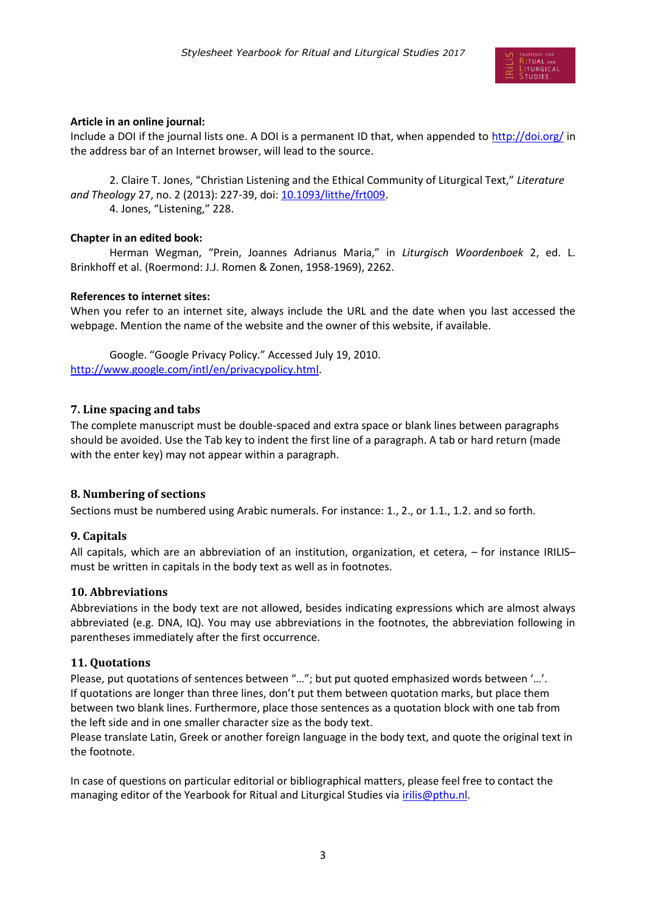

### **Article in an online journal:**

Include a DOI if the journal lists one. A DOI is a permanent ID that, when appended to<http://doi.org/> in the address bar of an Internet browser, will lead to the source.

2. Claire T. Jones, "Christian Listening and the Ethical Community of Liturgical Text," *Literature and Theology* 27, no. 2 (2013): 227-39, doi[: 10.1093/litthe/frt009.](https://doi.org/10.1093/litthe/frt009) 4. Jones, "Listening," 228.

### **Chapter in an edited book:**

Herman Wegman, "Prein, Joannes Adrianus Maria," in *Liturgisch Woordenboek* 2, ed. L. Brinkhoff et al. (Roermond: J.J. Romen & Zonen, 1958-1969), 2262.

### **References to internet sites:**

When you refer to an internet site, always include the URL and the date when you last accessed the webpage. Mention the name of the website and the owner of this website, if available.

Google. "Google Privacy Policy." Accessed July 19, 2010. [http://www.google.com/intl/en/privacypolicy.html.](http://www.google.com/intl/en/privacypolicy.html)

## **7. Line spacing and tabs**

The complete manuscript must be double-spaced and extra space or blank lines between paragraphs should be avoided. Use the Tab key to indent the first line of a paragraph. A tab or hard return (made with the enter key) may not appear within a paragraph.

## **8. Numbering of sections**

Sections must be numbered using Arabic numerals. For instance: 1., 2., or 1.1., 1.2. and so forth.

## **9. Capitals**

All capitals, which are an abbreviation of an institution, organization, et cetera, – for instance IRILIS– must be written in capitals in the body text as well as in footnotes.

#### **10. Abbreviations**

Abbreviations in the body text are not allowed, besides indicating expressions which are almost always abbreviated (e.g. DNA, IQ). You may use abbreviations in the footnotes, the abbreviation following in parentheses immediately after the first occurrence.

## **11. Quotations**

Please, put quotations of sentences between "…"; but put quoted emphasized words between '…'. If quotations are longer than three lines, don't put them between quotation marks, but place them between two blank lines. Furthermore, place those sentences as a quotation block with one tab from the left side and in one smaller character size as the body text.

Please translate Latin, Greek or another foreign language in the body text, and quote the original text in the footnote.

In case of questions on particular editorial or bibliographical matters, please feel free to contact the managing editor of the Yearbook for Ritual and Liturgical Studies via *irilis@pthu.nl.*